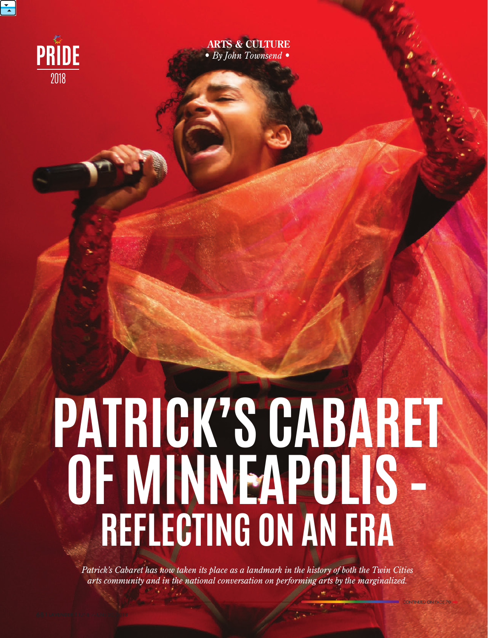

**ARTS & CULTURE** • By John Townsend

# **PATRICK'S CABARET<br>OF MINNEAPOLIS -<br>REFLECTING ON AN ERA**

Patrick's Cabaret has now taken its place as a landmark in the history of both the Twin Cities arts community and in the national conversation on performing arts by the marginalized.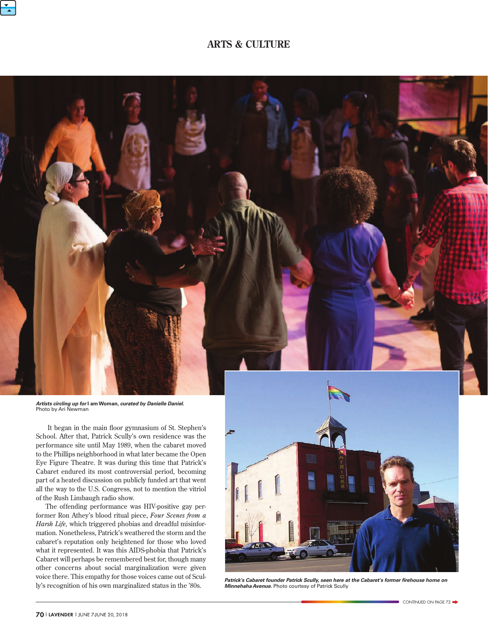

### **ARTS & CULTURE**



*Artists circling up for* **I am Woman***, curated by Danielle Daniel.***<br>Photo by Ari Newman** 

 It began in the main floor gymnasium of St. Stephen's School. After that, Patrick Scully's own residence was the performance site until May 1989, when the cabaret moved to the Phillips neighborhood in what later became the Open Eye Figure Theatre. It was during this time that Patrick's Cabaret endured its most controversial period, becoming part of a heated discussion on publicly funded art that went all the way to the U.S. Congress, not to mention the vitriol of the Rush Limbaugh radio show.

The offending performance was HIV-positive gay performer Ron Athey's blood ritual piece, *Four Scenes from a Harsh Life,* which triggered phobias and dreadful misinformation. Nonetheless, Patrick's weathered the storm and the cabaret's reputation only heightened for those who loved what it represented. It was this AIDS-phobia that Patrick's Cabaret will perhaps be remembered best for, though many other concerns about social marginalization were given voice there. This empathy for those voices came out of Scully's recognition of his own marginalized status in the '80s.



*Patrick's Cabaret founder Patrick Scully, seen here at the Cabaret's former firehouse home on Minnehaha Avenue.* Photo courtesy of Patrick Scully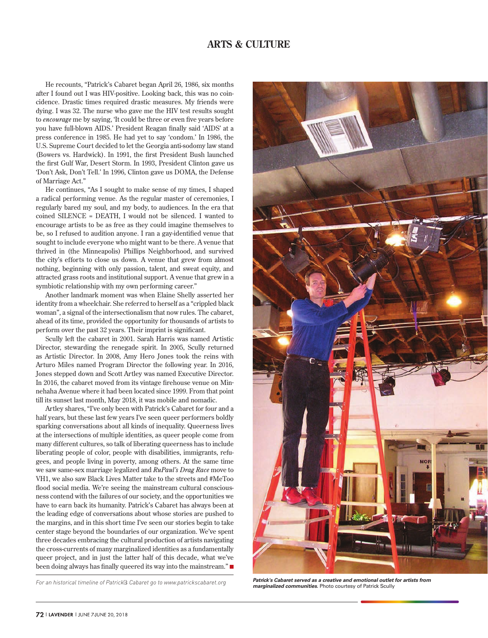### **ARTS & CULTURE**

He recounts, "Patrick's Cabaret began April 26, 1986, six months after I found out I was HIV-positive. Looking back, this was no coincidence. Drastic times required drastic measures. My friends were dying. I was 32. The nurse who gave me the HIV test results sought to *encourage* me by saying, 'It could be three or even five years before you have full-blown AIDS.' President Reagan finally said 'AIDS' at a press conference in 1985. He had yet to say 'condom.' In 1986, the U.S. Supreme Court decided to let the Georgia anti-sodomy law stand (Bowers vs. Hardwick). In 1991, the first President Bush launched the first Gulf War, Desert Storm. In 1993, President Clinton gave us 'Don't Ask, Don't Tell.' In 1996, Clinton gave us DOMA, the Defense of Marriage Act."

He continues, "As I sought to make sense of my times, I shaped a radical performing venue. As the regular master of ceremonies, I regularly bared my soul, and my body, to audiences. In the era that coined SILENCE = DEATH, I would not be silenced. I wanted to encourage artists to be as free as they could imagine themselves to be, so I refused to audition anyone. I ran a gay-identified venue that sought to include everyone who might want to be there. A venue that thrived in (the Minneapolis) Phillips Neighborhood, and survived the city's efforts to close us down. A venue that grew from almost nothing, beginning with only passion, talent, and sweat equity, and attracted grass roots and institutional support. A venue that grew in a symbiotic relationship with my own performing career."

Another landmark moment was when Elaine Shelly asserted her identity from a wheelchair. She referred to herself as a "crippled black woman", a signal of the intersectionalism that now rules. The cabaret, ahead of its time, provided the opportunity for thousands of artists to perform over the past 32 years. Their imprint is significant.

Scully left the cabaret in 2001. Sarah Harris was named Artistic Director, stewarding the renegade spirit. In 2005, Scully returned as Artistic Director. In 2008, Amy Hero Jones took the reins with Arturo Miles named Program Director the following year. In 2016, Jones stepped down and Scott Artley was named Executive Director. In 2016, the cabaret moved from its vintage firehouse venue on Minnehaha Avenue where it had been located since 1999. From that point till its sunset last month, May 2018, it was mobile and nomadic.

Artley shares, "I've only been with Patrick's Cabaret for four and a half years, but these last few years I've seen queer performers boldly sparking conversations about all kinds of inequality. Queerness lives at the intersections of multiple identities, as queer people come from many different cultures, so talk of liberating queerness has to include liberating people of color, people with disabilities, immigrants, refugees, and people living in poverty, among others. At the same time we saw same-sex marriage legalized and *RuPaul's Drag Race* move to VH1, we also saw Black Lives Matter take to the streets and #MeToo flood social media. We're seeing the mainstream cultural consciousness contend with the failures of our society, and the opportunities we have to earn back its humanity. Patrick's Cabaret has always been at the leading edge of conversations about whose stories are pushed to the margins, and in this short time I've seen our stories begin to take center stage beyond the boundaries of our organization. We've spent three decades embracing the cultural production of artists navigating the cross-currents of many marginalized identities as a fundamentally queer project, and in just the latter half of this decade, what we've been doing always has finally queered its way into the mainstream."

For an historical timeline of Patrick<sup>IS</sup> Cabaret go to www.patrickscabaret.org



*Patrick's Cabaret served as a creative and emotional outlet for artists from marginalized communities.* Photo courtesy of Patrick Scully